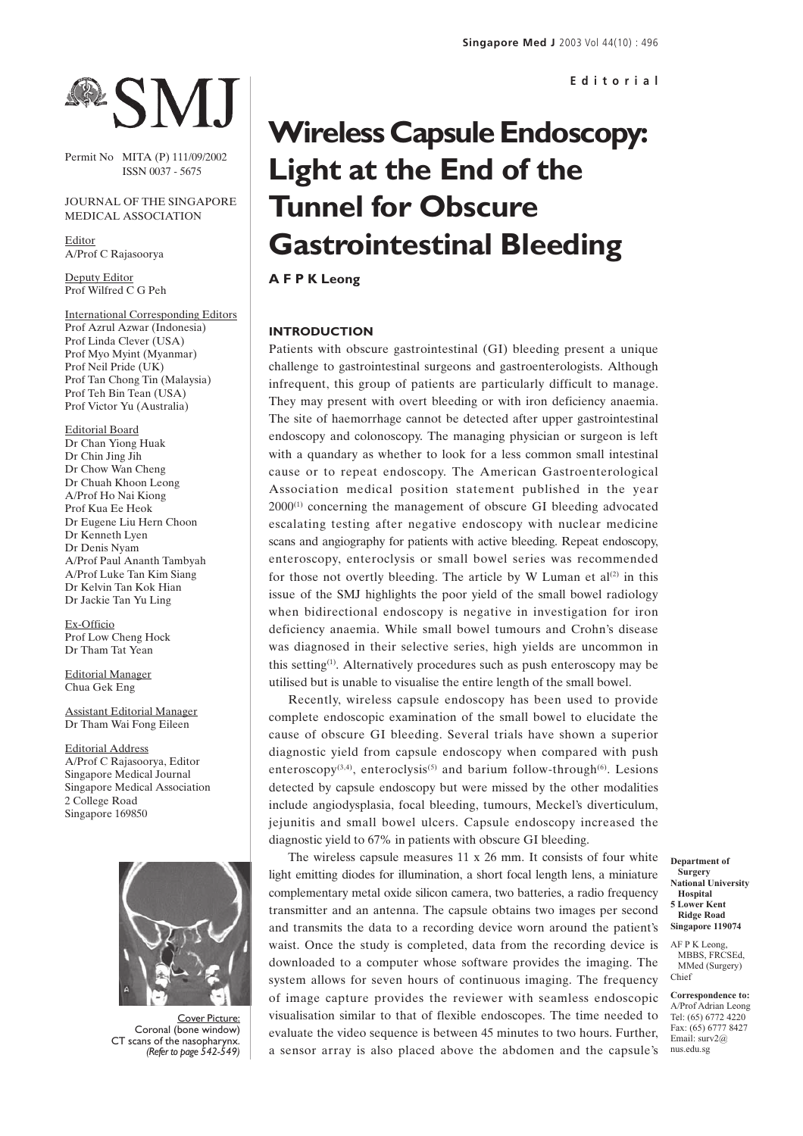# MJ

Permit No MITA (P) 111/09/2002 ISSN 0037 - 5675

## JOURNAL OF THE SINGAPORE MEDICAL ASSOCIATION

Editor A/Prof C Rajasoorya

Deputy Editor Prof Wilfred C G Peh

International Corresponding Editors Prof Azrul Azwar (Indonesia) Prof Linda Clever (USA) Prof Myo Myint (Myanmar) Prof Neil Pride (UK) Prof Tan Chong Tin (Malaysia) Prof Teh Bin Tean (USA) Prof Victor Yu (Australia)

Editorial Board Dr Chan Yiong Huak Dr Chin Jing Jih Dr Chow Wan Cheng Dr Chuah Khoon Leong A/Prof Ho Nai Kiong Prof Kua Ee Heok Dr Eugene Liu Hern Choon Dr Kenneth Lyen Dr Denis Nyam A/Prof Paul Ananth Tambyah A/Prof Luke Tan Kim Siang Dr Kelvin Tan Kok Hian Dr Jackie Tan Yu Ling

Ex-Officio Prof Low Cheng Hock Dr Tham Tat Yean

Editorial Manager Chua Gek Eng

Assistant Editorial Manager Dr Tham Wai Fong Eileen

Editorial Address A/Prof C Rajasoorya, Editor Singapore Medical Journal Singapore Medical Association 2 College Road Singapore 169850



Cover Picture: Coronal (bone window) CT scans of the nasopharynx. *(Refer to page 542-549)*

# **Wireless Capsule Endoscopy: Light at the End of the Tunnel for Obscure Gastrointestinal Bleeding**

**A F P K Leong**

# **INTRODUCTION**

Patients with obscure gastrointestinal (GI) bleeding present a unique challenge to gastrointestinal surgeons and gastroenterologists. Although infrequent, this group of patients are particularly difficult to manage. They may present with overt bleeding or with iron deficiency anaemia. The site of haemorrhage cannot be detected after upper gastrointestinal endoscopy and colonoscopy. The managing physician or surgeon is left with a quandary as whether to look for a less common small intestinal cause or to repeat endoscopy. The American Gastroenterological Association medical position statement published in the year 2000<sup>(1)</sup> concerning the management of obscure GI bleeding advocated escalating testing after negative endoscopy with nuclear medicine scans and angiography for patients with active bleeding. Repeat endoscopy, enteroscopy, enteroclysis or small bowel series was recommended for those not overtly bleeding. The article by W Luman et  $al^{(2)}$  in this issue of the SMJ highlights the poor yield of the small bowel radiology when bidirectional endoscopy is negative in investigation for iron deficiency anaemia. While small bowel tumours and Crohn's disease was diagnosed in their selective series, high yields are uncommon in this setting(1). Alternatively procedures such as push enteroscopy may be utilised but is unable to visualise the entire length of the small bowel.

Recently, wireless capsule endoscopy has been used to provide complete endoscopic examination of the small bowel to elucidate the cause of obscure GI bleeding. Several trials have shown a superior diagnostic yield from capsule endoscopy when compared with push enteroscopy<sup>(3,4)</sup>, enteroclysis<sup>(5)</sup> and barium follow-through<sup>(6)</sup>. Lesions detected by capsule endoscopy but were missed by the other modalities include angiodysplasia, focal bleeding, tumours, Meckel's diverticulum, jejunitis and small bowel ulcers. Capsule endoscopy increased the diagnostic yield to 67% in patients with obscure GI bleeding.

The wireless capsule measures 11 x 26 mm. It consists of four white light emitting diodes for illumination, a short focal length lens, a miniature complementary metal oxide silicon camera, two batteries, a radio frequency transmitter and an antenna. The capsule obtains two images per second and transmits the data to a recording device worn around the patient's waist. Once the study is completed, data from the recording device is downloaded to a computer whose software provides the imaging. The system allows for seven hours of continuous imaging. The frequency of image capture provides the reviewer with seamless endoscopic visualisation similar to that of flexible endoscopes. The time needed to evaluate the video sequence is between 45 minutes to two hours. Further, a sensor array is also placed above the abdomen and the capsule's

**Department of Surgery National University Hospital 5 Lower Kent Ridge Road Singapore 119074**

AF P K Leong, MBBS, FRCSEd, MMed (Surgery) Chief

**Correspondence to:** A/Prof Adrian Leong Tel: (65) 6772 4220 Fax: (65) 6777 8427 Email: surv2@ nus.edu.sg